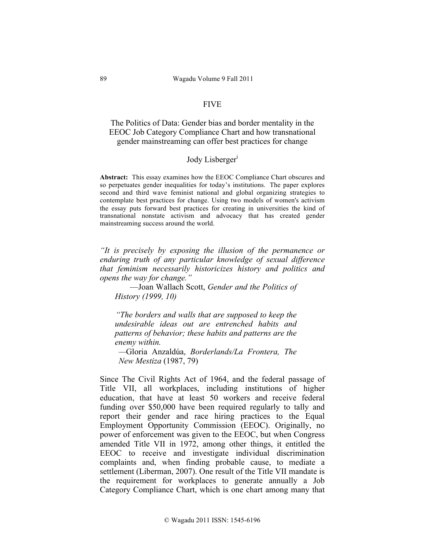# FIVE

The Politics of Data: Gender bias and border mentality in the EEOC Job Category Compliance Chart and how transnational gender mainstreaming can offer best practices for change

## Jody Lisberger<sup>1</sup>

**Abstract:** This essay examines how the EEOC Compliance Chart obscures and so perpetuates gender inequalities for today's institutions. The paper explores second and third wave feminist national and global organizing strategies to contemplate best practices for change. Using two models of women's activism the essay puts forward best practices for creating in universities the kind of transnational nonstate activism and advocacy that has created gender mainstreaming success around the world.

*"It is precisely by exposing the illusion of the permanence or enduring truth of any particular knowledge of sexual difference that feminism necessarily historicizes history and politics and opens the way for change."* 

—Joan Wallach Scott, *Gender and the Politics of History (1999, 10)*

*"The borders and walls that are supposed to keep the undesirable ideas out are entrenched habits and patterns of behavior; these habits and patterns are the enemy within.*

*—*Gloria Anzaldúa, *Borderlands/La Frontera, The New Mestiza* (1987, 79)

Since The Civil Rights Act of 1964, and the federal passage of Title VII, all workplaces, including institutions of higher education, that have at least 50 workers and receive federal funding over \$50,000 have been required regularly to tally and report their gender and race hiring practices to the Equal Employment Opportunity Commission (EEOC). Originally, no power of enforcement was given to the EEOC, but when Congress amended Title VII in 1972, among other things, it entitled the EEOC to receive and investigate individual discrimination complaints and, when finding probable cause, to mediate a settlement (Liberman, 2007). One result of the Title VII mandate is the requirement for workplaces to generate annually a Job Category Compliance Chart, which is one chart among many that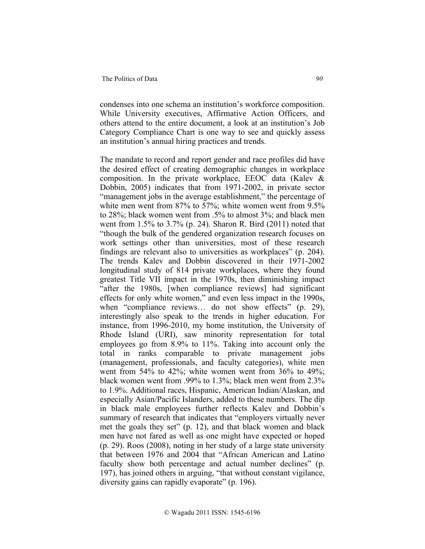condenses into one schema an institution's workforce composition. While University executives, Affirmative Action Officers, and others attend to the entire document, a look at an institution's Job Category Compliance Chart is one way to see and quickly assess an institution's annual hiring practices and trends.

The mandate to record and report gender and race profiles did have the desired effect of creating demographic changes in workplace composition. In the private workplace, EEOC data (Kalev & Dobbin, 2005) indicates that from 1971-2002, in private sector "management jobs in the average establishment," the percentage of white men went from 87% to 57%; white women went from 9.5% to 28%; black women went from .5% to almost 3%; and black men went from 1.5% to 3.7% (p. 24). Sharon R. Bird (2011) noted that "though the bulk of the gendered organization research focuses on work settings other than universities, most of these research findings are relevant also to universities as workplaces" (p. 204). The trends Kalev and Dobbin discovered in their 1971-2002 longitudinal study of 814 private workplaces, where they found greatest Title VII impact in the 1970s, then diminishing impact "after the 1980s, [when compliance reviews] had significant effects for only white women," and even less impact in the 1990s, when "compliance reviews... do not show effects" (p. 29), interestingly also speak to the trends in higher education. For instance, from 1996-2010, my home institution, the University of Rhode Island (URI), saw minority representation for total employees go from 8.9% to 11%. Taking into account only the total in ranks comparable to private management jobs (management, professionals, and faculty categories), white men went from 54% to 42%; white women went from 36% to 49%; black women went from .99% to 1.3%; black men went from 2.3% to 1.9%. Additional races, Hispanic, American Indian/Alaskan, and especially Asian/Pacific Islanders, added to these numbers. The dip in black male employees further reflects Kalev and Dobbin's summary of research that indicates that "employers virtually never met the goals they set" (p. 12), and that black women and black men have not fared as well as one might have expected or hoped (p. 29). Roos (2008), noting in her study of a large state university that between 1976 and 2004 that "African American and Latino faculty show both percentage and actual number declines" (p. 197), has joined others in arguing, "that without constant vigilance, diversity gains can rapidly evaporate" (p. 196).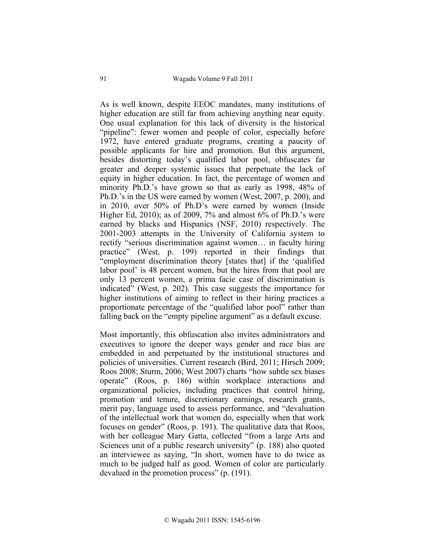As is well known, despite EEOC mandates, many institutions of higher education are still far from achieving anything near equity. One usual explanation for this lack of diversity is the historical "pipeline": fewer women and people of color, especially before 1972, have entered graduate programs, creating a paucity of possible applicants for hire and promotion. But this argument, besides distorting today's qualified labor pool, obfuscates far greater and deeper systemic issues that perpetuate the lack of equity in higher education. In fact, the percentage of women and minority Ph.D.'s have grown so that as early as 1998, 48% of Ph.D.'s in the US were earned by women (West, 2007, p. 200), and in 2010, over 50% of Ph.D's were earned by women (Inside Higher Ed, 2010); as of 2009, 7% and almost 6% of Ph.D.'s were earned by blacks and Hispanics (NSF, 2010) respectively. The 2001-2003 attempts in the University of California system to rectify "serious discrimination against women… in faculty hiring practice" (West, p. 199) reported in their findings that "employment discrimination theory [states that] if the 'qualified labor pool' is 48 percent women, but the hires from that pool are only 13 percent women, a prima facie case of discrimination is indicated" (West, p. 202). This case suggests the importance for higher institutions of aiming to reflect in their hiring practices a proportionate percentage of the "qualified labor pool" rather than falling back on the "empty pipeline argument" as a default excuse.

Most importantly, this obfuscation also invites administrators and executives to ignore the deeper ways gender and race bias are embedded in and perpetuated by the institutional structures and policies of universities. Current research (Bird, 2011; Hirsch 2009; Roos 2008; Sturm, 2006; West 2007) charts "how subtle sex biases operate" (Roos, p. 186) within workplace interactions and organizational policies, including practices that control hiring, promotion and tenure, discretionary earnings, research grants, merit pay, language used to assess performance, and "devaluation of the intellectual work that women do, especially when that work focuses on gender" (Roos, p. 191). The qualitative data that Roos, with her colleague Mary Gatta, collected "from a large Arts and Sciences unit of a public research university" (p. 188) also quoted an interviewee as saying, "In short, women have to do twice as much to be judged half as good. Women of color are particularly devalued in the promotion process" (p. (191).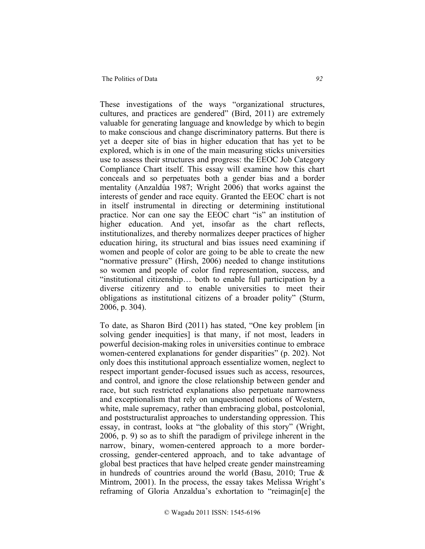#### The Politics of Data **92**

These investigations of the ways "organizational structures, cultures, and practices are gendered" (Bird, 2011) are extremely valuable for generating language and knowledge by which to begin to make conscious and change discriminatory patterns. But there is yet a deeper site of bias in higher education that has yet to be explored, which is in one of the main measuring sticks universities use to assess their structures and progress: the EEOC Job Category Compliance Chart itself. This essay will examine how this chart conceals and so perpetuates both a gender bias and a border mentality (Anzaldúa 1987; Wright 2006) that works against the interests of gender and race equity. Granted the EEOC chart is not in itself instrumental in directing or determining institutional practice. Nor can one say the EEOC chart "is" an institution of higher education. And yet, insofar as the chart reflects, institutionalizes, and thereby normalizes deeper practices of higher education hiring, its structural and bias issues need examining if women and people of color are going to be able to create the new "normative pressure" (Hirsh, 2006) needed to change institutions so women and people of color find representation, success, and "institutional citizenship… both to enable full participation by a diverse citizenry and to enable universities to meet their obligations as institutional citizens of a broader polity" (Sturm, 2006, p. 304).

To date, as Sharon Bird (2011) has stated, "One key problem [in solving gender inequities] is that many, if not most, leaders in powerful decision-making roles in universities continue to embrace women-centered explanations for gender disparities" (p. 202). Not only does this institutional approach essentialize women, neglect to respect important gender-focused issues such as access, resources, and control, and ignore the close relationship between gender and race, but such restricted explanations also perpetuate narrowness and exceptionalism that rely on unquestioned notions of Western, white, male supremacy, rather than embracing global, postcolonial, and poststructuralist approaches to understanding oppression. This essay, in contrast, looks at "the globality of this story" (Wright, 2006, p. 9) so as to shift the paradigm of privilege inherent in the narrow, binary, women-centered approach to a more bordercrossing, gender-centered approach, and to take advantage of global best practices that have helped create gender mainstreaming in hundreds of countries around the world (Basu, 2010; True  $\&$ Mintrom, 2001). In the process, the essay takes Melissa Wright's reframing of Gloria Anzaldua's exhortation to "reimagin[e] the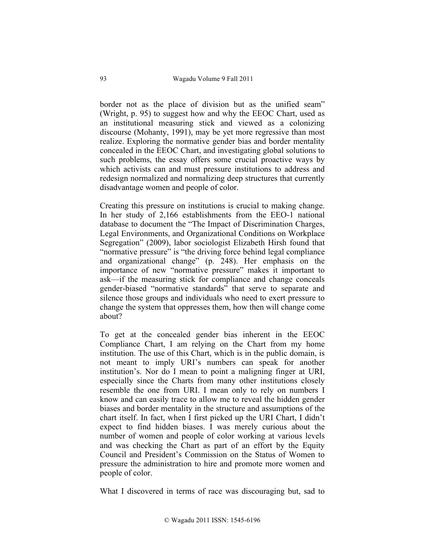border not as the place of division but as the unified seam" (Wright, p. 95) to suggest how and why the EEOC Chart, used as an institutional measuring stick and viewed as a colonizing discourse (Mohanty, 1991), may be yet more regressive than most realize. Exploring the normative gender bias and border mentality concealed in the EEOC Chart, and investigating global solutions to such problems, the essay offers some crucial proactive ways by which activists can and must pressure institutions to address and redesign normalized and normalizing deep structures that currently disadvantage women and people of color.

Creating this pressure on institutions is crucial to making change. In her study of 2,166 establishments from the EEO-1 national database to document the "The Impact of Discrimination Charges, Legal Environments, and Organizational Conditions on Workplace Segregation" (2009), labor sociologist Elizabeth Hirsh found that "normative pressure" is "the driving force behind legal compliance and organizational change" (p. 248). Her emphasis on the importance of new "normative pressure" makes it important to ask—if the measuring stick for compliance and change conceals gender-biased "normative standards" that serve to separate and silence those groups and individuals who need to exert pressure to change the system that oppresses them, how then will change come about?

To get at the concealed gender bias inherent in the EEOC Compliance Chart, I am relying on the Chart from my home institution. The use of this Chart, which is in the public domain, is not meant to imply URI's numbers can speak for another institution's. Nor do I mean to point a maligning finger at URI, especially since the Charts from many other institutions closely resemble the one from URI. I mean only to rely on numbers I know and can easily trace to allow me to reveal the hidden gender biases and border mentality in the structure and assumptions of the chart itself. In fact, when I first picked up the URI Chart, I didn't expect to find hidden biases. I was merely curious about the number of women and people of color working at various levels and was checking the Chart as part of an effort by the Equity Council and President's Commission on the Status of Women to pressure the administration to hire and promote more women and people of color.

What I discovered in terms of race was discouraging but, sad to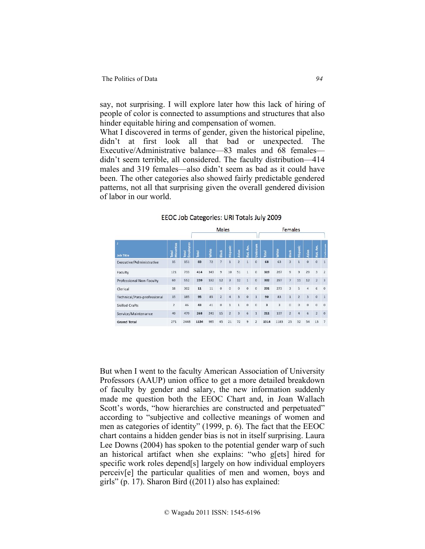say, not surprising. I will explore later how this lack of hiring of people of color is connected to assumptions and structures that also hinder equitable hiring and compensation of women.

What I discovered in terms of gender, given the historical pipeline, didn't at first look all that bad or unexpected. The Executive/Administrative balance—83 males and 68 females didn't seem terrible, all considered. The faculty distribution—414 males and 319 females—also didn't seem as bad as it could have been. The other categories also showed fairly predictable gendered patterns, not all that surprising given the overall gendered division of labor in our world.

EEOC Job Categories: URI Totals July 2009

| J.<br><b>Job Title</b>      |                            |                    | Males |              |                |                |                |                |                | Females                 |              |                |                |                |                |                         |
|-----------------------------|----------------------------|--------------------|-------|--------------|----------------|----------------|----------------|----------------|----------------|-------------------------|--------------|----------------|----------------|----------------|----------------|-------------------------|
|                             | <b>Vinorities</b><br>Total | Employees<br>Total | Total | <b>Mhite</b> | Black          | Hispanic       | Nsian          | Vat. Am.       | Unknown        | Total                   | <b>Mhite</b> | <b>Black</b>   | Hispanic       | Asian          | Nat. Am.       | Hallme                  |
| Executive/Administrative    | 15                         | 151                | 83    | 72           | 7              |                | $\overline{a}$ |                | $\bf{0}$       | 68                      | 63           | $\overline{3}$ |                | $\bf{0}$       | $\Omega$       | $\mathbf{1}$            |
| Faculty                     | 121                        | 733                | 414   | 343          | $\overline{9}$ | 10             | 51             | $\mathbf{1}$   | $\bf{0}$       | 319                     | 267          | $\overline{9}$ | 9              | 29             | 3              | $\overline{2}$          |
| Professional Non-Faculty    | 60                         | 552                | 220   | 192          | 12             | $\overline{3}$ | 12             | $\mathbf{1}$   | $\mathbf{0}$   | 332                     | 297          | $\overline{7}$ | 11             | 12             | $\overline{2}$ | $\overline{\mathbf{3}}$ |
| Clerical                    | 18                         | 302                | 11    | 11           | $\mathbf{0}$   | $\mathbf{0}$   | $\circ$        | $\mathbf{O}$   | $\mathbf{0}$   | 291                     | 273          | 3              | 5              | 4              | 6              | $\circ$                 |
| Technical/Para-professional | 15                         | 185                | 95    | 85           | $\overline{2}$ | $\overline{a}$ | $\overline{3}$ | $\overline{0}$ | $\mathbf{1}$   | 90                      | 83           | $\mathbf{1}$   | $\overline{2}$ | 3              | $\mathbf{0}$   | $\overline{1}$          |
| <b>Skilled Crafts</b>       | $\overline{2}$             | 46                 | 43    | 41           | $\overline{0}$ | $\mathbf{1}$   | $\mathbf{1}$   | $\mathbf 0$    | $\mathbf 0$    | $\overline{\mathbf{3}}$ | 3            | $\circ$        | $\mathbf 0$    | $\overline{0}$ | $\overline{0}$ | $\overline{0}$          |
| Service/Maintenance         | 40                         | 479                | 268   | 241          | 15             | $\overline{2}$ | $\overline{3}$ | 6              | $\mathbf{1}$   | 211                     | 197          | $\overline{2}$ | $\overline{a}$ | 6              | $\overline{2}$ | $\overline{0}$          |
| <b>Grand Total</b>          | 271                        | 2448               | 1134  | 985          | 45             | 21             | 72             | 9              | $\overline{2}$ | 1314                    | 1183         | 25             | 32             | 54             | 13             | $\overline{7}$          |

But when I went to the faculty American Association of University Professors (AAUP) union office to get a more detailed breakdown of faculty by gender and salary, the new information suddenly made me question both the EEOC Chart and, in Joan Wallach Scott's words, "how hierarchies are constructed and perpetuated" according to "subjective and collective meanings of women and men as categories of identity" (1999, p. 6). The fact that the EEOC chart contains a hidden gender bias is not in itself surprising. Laura Lee Downs (2004) has spoken to the potential gender warp of such an historical artifact when she explains: "who g[ets] hired for specific work roles depend[s] largely on how individual employers perceiv[e] the particular qualities of men and women, boys and girls" (p. 17). Sharon Bird ((2011) also has explained: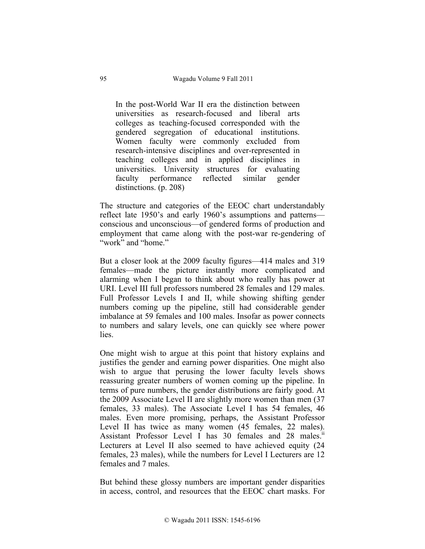In the post-World War II era the distinction between universities as research-focused and liberal arts colleges as teaching-focused corresponded with the gendered segregation of educational institutions. Women faculty were commonly excluded from research-intensive disciplines and over-represented in teaching colleges and in applied disciplines in universities. University structures for evaluating faculty performance reflected similar gender distinctions. (p. 208)

The structure and categories of the EEOC chart understandably reflect late 1950's and early 1960's assumptions and patterns conscious and unconscious—of gendered forms of production and employment that came along with the post-war re-gendering of "work" and "home."

But a closer look at the 2009 faculty figures—414 males and 319 females—made the picture instantly more complicated and alarming when I began to think about who really has power at URI. Level III full professors numbered 28 females and 129 males. Full Professor Levels I and II, while showing shifting gender numbers coming up the pipeline, still had considerable gender imbalance at 59 females and 100 males. Insofar as power connects to numbers and salary levels, one can quickly see where power lies.

One might wish to argue at this point that history explains and justifies the gender and earning power disparities. One might also wish to argue that perusing the lower faculty levels shows reassuring greater numbers of women coming up the pipeline. In terms of pure numbers, the gender distributions are fairly good. At the 2009 Associate Level II are slightly more women than men (37 females, 33 males). The Associate Level I has 54 females, 46 males. Even more promising, perhaps, the Assistant Professor Level II has twice as many women (45 females, 22 males). Assistant Professor Level I has 30 females and 28 males.<sup>11</sup> Lecturers at Level II also seemed to have achieved equity (24 females, 23 males), while the numbers for Level I Lecturers are 12 females and 7 males.

But behind these glossy numbers are important gender disparities in access, control, and resources that the EEOC chart masks. For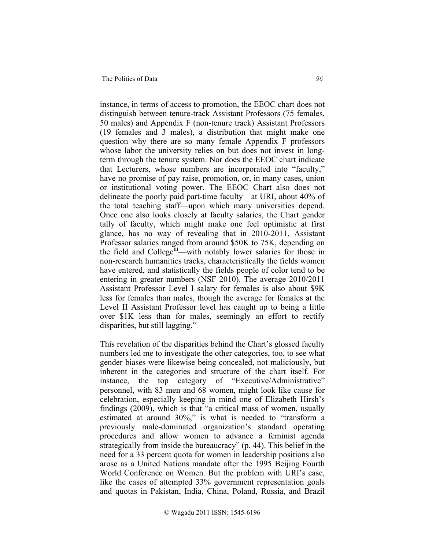#### The Politics of Data *96*

instance, in terms of access to promotion, the EEOC chart does not distinguish between tenure-track Assistant Professors (75 females, 50 males) and Appendix F (non-tenure track) Assistant Professors (19 females and 3 males), a distribution that might make one question why there are so many female Appendix F professors whose labor the university relies on but does not invest in longterm through the tenure system. Nor does the EEOC chart indicate that Lecturers, whose numbers are incorporated into "faculty," have no promise of pay raise, promotion, or, in many cases, union or institutional voting power. The EEOC Chart also does not delineate the poorly paid part-time faculty—at URI, about 40% of the total teaching staff—upon which many universities depend. Once one also looks closely at faculty salaries, the Chart gender tally of faculty, which might make one feel optimistic at first glance, has no way of revealing that in 2010-2011, Assistant Professor salaries ranged from around \$50K to 75K, depending on the field and College<sup>iii</sup>—with notably lower salaries for those in non-research humanities tracks, characteristically the fields women have entered, and statistically the fields people of color tend to be entering in greater numbers (NSF 2010). The average 2010/2011 Assistant Professor Level I salary for females is also about \$9K less for females than males, though the average for females at the Level II Assistant Professor level has caught up to being a little over \$1K less than for males, seemingly an effort to rectify disparities, but still lagging.<sup>1V</sup>

This revelation of the disparities behind the Chart's glossed faculty numbers led me to investigate the other categories, too, to see what gender biases were likewise being concealed, not maliciously, but inherent in the categories and structure of the chart itself. For instance, the top category of "Executive/Administrative" personnel, with 83 men and 68 women, might look like cause for celebration, especially keeping in mind one of Elizabeth Hirsh's findings (2009), which is that "a critical mass of women, usually estimated at around 30%," is what is needed to "transform a previously male-dominated organization's standard operating procedures and allow women to advance a feminist agenda strategically from inside the bureaucracy" (p. 44). This belief in the need for a 33 percent quota for women in leadership positions also arose as a United Nations mandate after the 1995 Beijing Fourth World Conference on Women. But the problem with URI's case, like the cases of attempted 33% government representation goals and quotas in Pakistan, India, China, Poland, Russia, and Brazil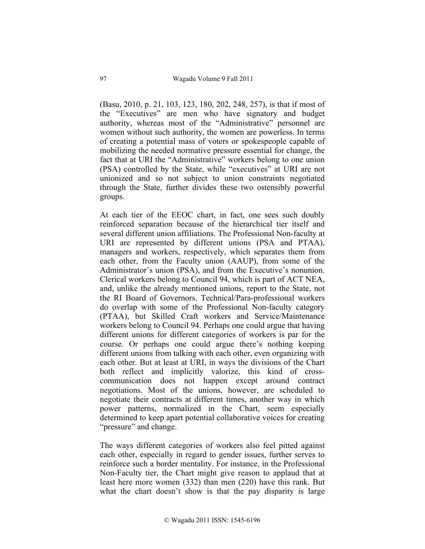(Basu, 2010, p. 21, 103, 123, 180, 202, 248, 257), is that if most of the "Executives" are men who have signatory and budget authority, whereas most of the "Administrative" personnel are women without such authority, the women are powerless. In terms of creating a potential mass of voters or spokespeople capable of mobilizing the needed normative pressure essential for change, the fact that at URI the "Administrative" workers belong to one union (PSA) controlled by the State, while "executives" at URI are not unionized and so not subject to union constraints negotiated through the State, further divides these two ostensibly powerful groups.

At each tier of the EEOC chart, in fact, one sees such doubly reinforced separation because of the hierarchical tier itself and several different union affiliations. The Professional Non-faculty at URI are represented by different unions (PSA and PTAA), managers and workers, respectively, which separates them from each other, from the Faculty union (AAUP), from some of the Administrator's union (PSA), and from the Executive's nonunion. Clerical workers belong to Council 94, which is part of ACT NEA, and, unlike the already mentioned unions, report to the State, not the RI Board of Governors. Technical/Para-professional workers do overlap with some of the Professional Non-faculty category (PTAA), but Skilled Craft workers and Service/Maintenance workers belong to Council 94. Perhaps one could argue that having different unions for different categories of workers is par for the course. Or perhaps one could argue there's nothing keeping different unions from talking with each other, even organizing with each other. But at least at URI, in ways the divisions of the Chart both reflect and implicitly valorize, this kind of crosscommunication does not happen except around contract negotiations. Most of the unions, however, are scheduled to negotiate their contracts at different times, another way in which power patterns, normalized in the Chart, seem especially determined to keep apart potential collaborative voices for creating "pressure" and change.

The ways different categories of workers also feel pitted against each other, especially in regard to gender issues, further serves to reinforce such a border mentality. For instance, in the Professional Non-Faculty tier, the Chart might give reason to applaud that at least here more women (332) than men (220) have this rank. But what the chart doesn't show is that the pay disparity is large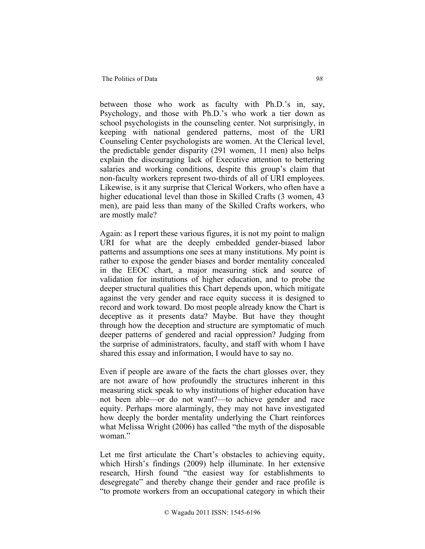between those who work as faculty with Ph.D.'s in, say, Psychology, and those with Ph.D.'s who work a tier down as school psychologists in the counseling center. Not surprisingly, in keeping with national gendered patterns, most of the URI Counseling Center psychologists are women. At the Clerical level, the predictable gender disparity (291 women, 11 men) also helps explain the discouraging lack of Executive attention to bettering salaries and working conditions, despite this group's claim that non-faculty workers represent two-thirds of all of URI employees. Likewise, is it any surprise that Clerical Workers, who often have a higher educational level than those in Skilled Crafts (3 women, 43) men), are paid less than many of the Skilled Crafts workers, who are mostly male?

Again: as I report these various figures, it is not my point to malign URI for what are the deeply embedded gender-biased labor patterns and assumptions one sees at many institutions. My point is rather to expose the gender biases and border mentality concealed in the EEOC chart, a major measuring stick and source of validation for institutions of higher education, and to probe the deeper structural qualities this Chart depends upon, which mitigate against the very gender and race equity success it is designed to record and work toward. Do most people already know the Chart is deceptive as it presents data? Maybe. But have they thought through how the deception and structure are symptomatic of much deeper patterns of gendered and racial oppression? Judging from the surprise of administrators, faculty, and staff with whom I have shared this essay and information, I would have to say no.

Even if people are aware of the facts the chart glosses over, they are not aware of how profoundly the structures inherent in this measuring stick speak to why institutions of higher education have not been able—or do not want?—to achieve gender and race equity. Perhaps more alarmingly, they may not have investigated how deeply the border mentality underlying the Chart reinforces what Melissa Wright (2006) has called "the myth of the disposable woman"

Let me first articulate the Chart's obstacles to achieving equity, which Hirsh's findings (2009) help illuminate. In her extensive research, Hirsh found "the easiest way for establishments to desegregate" and thereby change their gender and race profile is "to promote workers from an occupational category in which their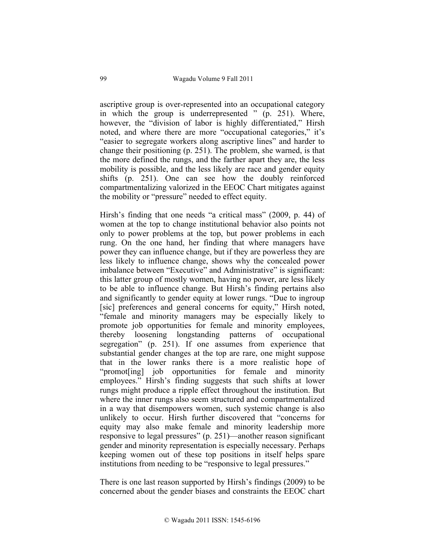ascriptive group is over-represented into an occupational category in which the group is underrepresented " (p. 251). Where, however, the "division of labor is highly differentiated," Hirsh noted, and where there are more "occupational categories," it's "easier to segregate workers along ascriptive lines" and harder to change their positioning (p. 251). The problem, she warned, is that the more defined the rungs, and the farther apart they are, the less mobility is possible, and the less likely are race and gender equity shifts (p. 251). One can see how the doubly reinforced compartmentalizing valorized in the EEOC Chart mitigates against the mobility or "pressure" needed to effect equity.

Hirsh's finding that one needs "a critical mass" (2009, p. 44) of women at the top to change institutional behavior also points not only to power problems at the top, but power problems in each rung. On the one hand, her finding that where managers have power they can influence change, but if they are powerless they are less likely to influence change, shows why the concealed power imbalance between "Executive" and Administrative" is significant: this latter group of mostly women, having no power, are less likely to be able to influence change. But Hirsh's finding pertains also and significantly to gender equity at lower rungs. "Due to ingroup [sic] preferences and general concerns for equity," Hirsh noted, "female and minority managers may be especially likely to promote job opportunities for female and minority employees, thereby loosening longstanding patterns of occupational segregation" (p. 251). If one assumes from experience that substantial gender changes at the top are rare, one might suppose that in the lower ranks there is a more realistic hope of "promot[ing] job opportunities for female and minority employees." Hirsh's finding suggests that such shifts at lower rungs might produce a ripple effect throughout the institution. But where the inner rungs also seem structured and compartmentalized in a way that disempowers women, such systemic change is also unlikely to occur. Hirsh further discovered that "concerns for equity may also make female and minority leadership more responsive to legal pressures" (p. 251)—another reason significant gender and minority representation is especially necessary. Perhaps keeping women out of these top positions in itself helps spare institutions from needing to be "responsive to legal pressures."

There is one last reason supported by Hirsh's findings (2009) to be concerned about the gender biases and constraints the EEOC chart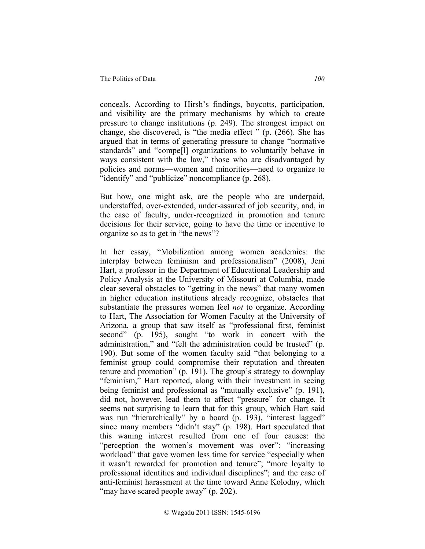conceals. According to Hirsh's findings, boycotts, participation, and visibility are the primary mechanisms by which to create pressure to change institutions (p. 249). The strongest impact on change, she discovered, is "the media effect " (p. (266). She has argued that in terms of generating pressure to change "normative standards" and "compe[l] organizations to voluntarily behave in ways consistent with the law," those who are disadvantaged by policies and norms—women and minorities—need to organize to "identify" and "publicize" noncompliance (p. 268).

But how, one might ask, are the people who are underpaid, understaffed, over-extended, under-assured of job security, and, in the case of faculty, under-recognized in promotion and tenure decisions for their service, going to have the time or incentive to organize so as to get in "the news"?

In her essay, "Mobilization among women academics: the interplay between feminism and professionalism" (2008), Jeni Hart, a professor in the Department of Educational Leadership and Policy Analysis at the University of Missouri at Columbia, made clear several obstacles to "getting in the news" that many women in higher education institutions already recognize, obstacles that substantiate the pressures women feel *not* to organize. According to Hart, The Association for Women Faculty at the University of Arizona, a group that saw itself as "professional first, feminist second" (p. 195), sought "to work in concert with the administration," and "felt the administration could be trusted" (p. 190). But some of the women faculty said "that belonging to a feminist group could compromise their reputation and threaten tenure and promotion" (p. 191). The group's strategy to downplay "feminism," Hart reported, along with their investment in seeing being feminist and professional as "mutually exclusive" (p. 191), did not, however, lead them to affect "pressure" for change. It seems not surprising to learn that for this group, which Hart said was run "hierarchically" by a board (p. 193), "interest lagged" since many members "didn't stay" (p. 198). Hart speculated that this waning interest resulted from one of four causes: the "perception the women's movement was over": "increasing" workload" that gave women less time for service "especially when it wasn't rewarded for promotion and tenure"; "more loyalty to professional identities and individual disciplines"; and the case of anti-feminist harassment at the time toward Anne Kolodny, which "may have scared people away" (p. 202).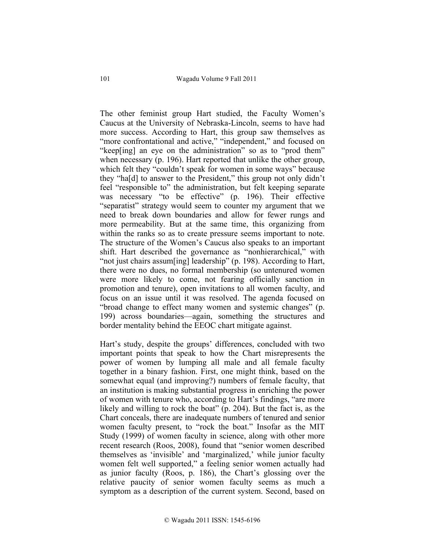The other feminist group Hart studied, the Faculty Women's Caucus at the University of Nebraska-Lincoln, seems to have had more success. According to Hart, this group saw themselves as "more confrontational and active," "independent," and focused on "keep[ing] an eye on the administration" so as to "prod them" when necessary (p. 196). Hart reported that unlike the other group, which felt they "couldn't speak for women in some ways" because they "ha[d] to answer to the President," this group not only didn't feel "responsible to" the administration, but felt keeping separate was necessary "to be effective" (p. 196). Their effective "separatist" strategy would seem to counter my argument that we need to break down boundaries and allow for fewer rungs and more permeability. But at the same time, this organizing from within the ranks so as to create pressure seems important to note. The structure of the Women's Caucus also speaks to an important shift. Hart described the governance as "nonhierarchical," with "not just chairs assum[ing] leadership" (p. 198). According to Hart, there were no dues, no formal membership (so untenured women were more likely to come, not fearing officially sanction in promotion and tenure), open invitations to all women faculty, and focus on an issue until it was resolved. The agenda focused on "broad change to effect many women and systemic changes" (p. 199) across boundaries—again, something the structures and border mentality behind the EEOC chart mitigate against.

Hart's study, despite the groups' differences, concluded with two important points that speak to how the Chart misrepresents the power of women by lumping all male and all female faculty together in a binary fashion. First, one might think, based on the somewhat equal (and improving?) numbers of female faculty, that an institution is making substantial progress in enriching the power of women with tenure who, according to Hart's findings, "are more likely and willing to rock the boat" (p. 204). But the fact is, as the Chart conceals, there are inadequate numbers of tenured and senior women faculty present, to "rock the boat." Insofar as the MIT Study (1999) of women faculty in science, along with other more recent research (Roos, 2008), found that "senior women described themselves as 'invisible' and 'marginalized,' while junior faculty women felt well supported," a feeling senior women actually had as junior faculty (Roos, p. 186), the Chart's glossing over the relative paucity of senior women faculty seems as much a symptom as a description of the current system. Second, based on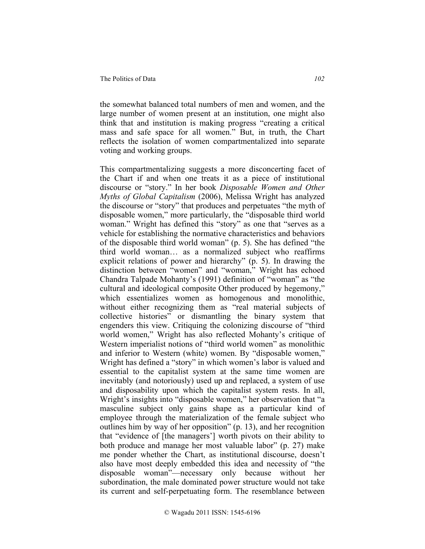the somewhat balanced total numbers of men and women, and the large number of women present at an institution, one might also think that and institution is making progress "creating a critical mass and safe space for all women." But, in truth, the Chart reflects the isolation of women compartmentalized into separate voting and working groups.

This compartmentalizing suggests a more disconcerting facet of the Chart if and when one treats it as a piece of institutional discourse or "story." In her book *Disposable Women and Other Myths of Global Capitalism* (2006), Melissa Wright has analyzed the discourse or "story" that produces and perpetuates "the myth of disposable women," more particularly, the "disposable third world woman." Wright has defined this "story" as one that "serves as a vehicle for establishing the normative characteristics and behaviors of the disposable third world woman" (p. 5). She has defined "the third world woman… as a normalized subject who reaffirms explicit relations of power and hierarchy" (p. 5). In drawing the distinction between "women" and "woman," Wright has echoed Chandra Talpade Mohanty's (1991) definition of "woman" as "the cultural and ideological composite Other produced by hegemony," which essentializes women as homogenous and monolithic, without either recognizing them as "real material subjects of collective histories" or dismantling the binary system that engenders this view. Critiquing the colonizing discourse of "third world women," Wright has also reflected Mohanty's critique of Western imperialist notions of "third world women" as monolithic and inferior to Western (white) women. By "disposable women," Wright has defined a "story" in which women's labor is valued and essential to the capitalist system at the same time women are inevitably (and notoriously) used up and replaced, a system of use and disposability upon which the capitalist system rests. In all, Wright's insights into "disposable women," her observation that "a masculine subject only gains shape as a particular kind of employee through the materialization of the female subject who outlines him by way of her opposition" (p. 13), and her recognition that "evidence of [the managers'] worth pivots on their ability to both produce and manage her most valuable labor" (p. 27) make me ponder whether the Chart, as institutional discourse, doesn't also have most deeply embedded this idea and necessity of "the disposable woman"—necessary only because without her subordination, the male dominated power structure would not take its current and self-perpetuating form. The resemblance between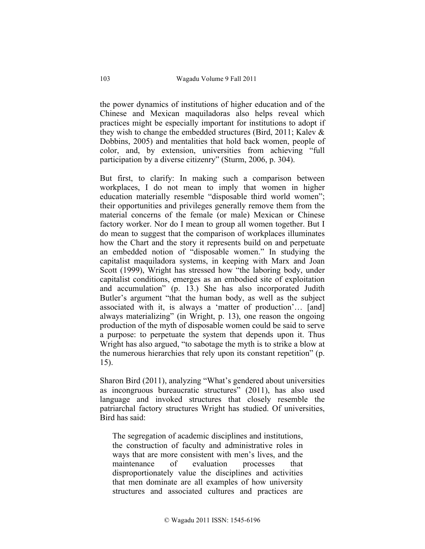the power dynamics of institutions of higher education and of the Chinese and Mexican maquiladoras also helps reveal which practices might be especially important for institutions to adopt if they wish to change the embedded structures (Bird, 2011; Kalev & Dobbins, 2005) and mentalities that hold back women, people of color, and, by extension, universities from achieving "full participation by a diverse citizenry" (Sturm, 2006, p. 304).

But first, to clarify: In making such a comparison between workplaces, I do not mean to imply that women in higher education materially resemble "disposable third world women"; their opportunities and privileges generally remove them from the material concerns of the female (or male) Mexican or Chinese factory worker. Nor do I mean to group all women together. But I do mean to suggest that the comparison of workplaces illuminates how the Chart and the story it represents build on and perpetuate an embedded notion of "disposable women." In studying the capitalist maquiladora systems, in keeping with Marx and Joan Scott (1999), Wright has stressed how "the laboring body, under capitalist conditions, emerges as an embodied site of exploitation and accumulation" (p. 13.) She has also incorporated Judith Butler's argument "that the human body, as well as the subject associated with it, is always a 'matter of production'… [and] always materializing" (in Wright, p. 13), one reason the ongoing production of the myth of disposable women could be said to serve a purpose: to perpetuate the system that depends upon it. Thus Wright has also argued, "to sabotage the myth is to strike a blow at the numerous hierarchies that rely upon its constant repetition" (p. 15).

Sharon Bird (2011), analyzing "What's gendered about universities as incongruous bureaucratic structures" (2011), has also used language and invoked structures that closely resemble the patriarchal factory structures Wright has studied. Of universities, Bird has said:

The segregation of academic disciplines and institutions, the construction of faculty and administrative roles in ways that are more consistent with men's lives, and the maintenance of evaluation processes that disproportionately value the disciplines and activities that men dominate are all examples of how university structures and associated cultures and practices are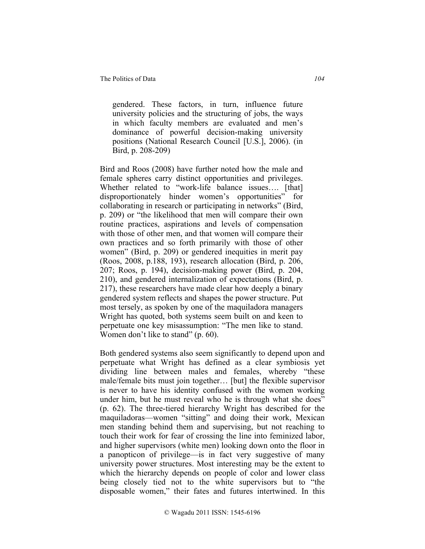gendered. These factors, in turn, influence future university policies and the structuring of jobs, the ways in which faculty members are evaluated and men's dominance of powerful decision-making university positions (National Research Council [U.S.], 2006). (in Bird, p. 208-209)

Bird and Roos (2008) have further noted how the male and female spheres carry distinct opportunities and privileges. Whether related to "work-life balance issues.... [that] disproportionately hinder women's opportunities" for collaborating in research or participating in networks" (Bird, p. 209) or "the likelihood that men will compare their own routine practices, aspirations and levels of compensation with those of other men, and that women will compare their own practices and so forth primarily with those of other women" (Bird, p. 209) or gendered inequities in merit pay (Roos, 2008, p.188, 193), research allocation (Bird, p. 206, 207; Roos, p. 194), decision-making power (Bird, p. 204, 210), and gendered internalization of expectations (Bird, p. 217), these researchers have made clear how deeply a binary gendered system reflects and shapes the power structure. Put most tersely, as spoken by one of the maquiladora managers Wright has quoted, both systems seem built on and keen to perpetuate one key misassumption: "The men like to stand. Women don't like to stand" (p. 60).

Both gendered systems also seem significantly to depend upon and perpetuate what Wright has defined as a clear symbiosis yet dividing line between males and females, whereby "these male/female bits must join together… [but] the flexible supervisor is never to have his identity confused with the women working under him, but he must reveal who he is through what she does" (p. 62). The three-tiered hierarchy Wright has described for the maquiladoras—women "sitting" and doing their work, Mexican men standing behind them and supervising, but not reaching to touch their work for fear of crossing the line into feminized labor, and higher supervisors (white men) looking down onto the floor in a panopticon of privilege—is in fact very suggestive of many university power structures. Most interesting may be the extent to which the hierarchy depends on people of color and lower class being closely tied not to the white supervisors but to "the disposable women," their fates and futures intertwined. In this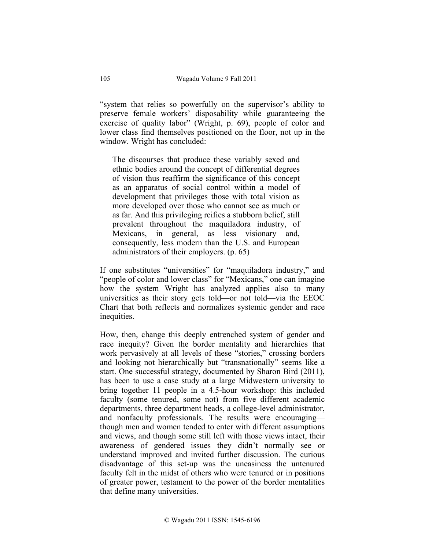"system that relies so powerfully on the supervisor's ability to preserve female workers' disposability while guaranteeing the exercise of quality labor" (Wright, p. 69), people of color and lower class find themselves positioned on the floor, not up in the window. Wright has concluded:

The discourses that produce these variably sexed and ethnic bodies around the concept of differential degrees of vision thus reaffirm the significance of this concept as an apparatus of social control within a model of development that privileges those with total vision as more developed over those who cannot see as much or as far. And this privileging reifies a stubborn belief, still prevalent throughout the maquiladora industry, of Mexicans, in general, as less visionary and, consequently, less modern than the U.S. and European administrators of their employers. (p. 65)

If one substitutes "universities" for "maquiladora industry," and "people of color and lower class" for "Mexicans," one can imagine how the system Wright has analyzed applies also to many universities as their story gets told—or not told—via the EEOC Chart that both reflects and normalizes systemic gender and race inequities.

How, then, change this deeply entrenched system of gender and race inequity? Given the border mentality and hierarchies that work pervasively at all levels of these "stories," crossing borders and looking not hierarchically but "transnationally" seems like a start. One successful strategy, documented by Sharon Bird (2011), has been to use a case study at a large Midwestern university to bring together 11 people in a 4.5-hour workshop: this included faculty (some tenured, some not) from five different academic departments, three department heads, a college-level administrator, and nonfaculty professionals. The results were encouraging though men and women tended to enter with different assumptions and views, and though some still left with those views intact, their awareness of gendered issues they didn't normally see or understand improved and invited further discussion. The curious disadvantage of this set-up was the uneasiness the untenured faculty felt in the midst of others who were tenured or in positions of greater power, testament to the power of the border mentalities that define many universities.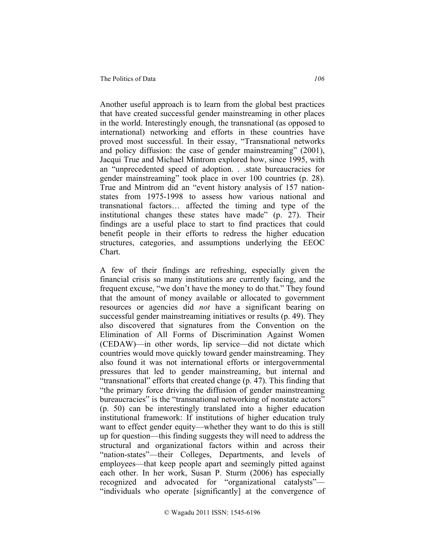Another useful approach is to learn from the global best practices that have created successful gender mainstreaming in other places in the world. Interestingly enough, the transnational (as opposed to international) networking and efforts in these countries have proved most successful. In their essay, "Transnational networks and policy diffusion: the case of gender mainstreaming" (2001), Jacqui True and Michael Mintrom explored how, since 1995, with an "unprecedented speed of adoption. . .state bureaucracies for gender mainstreaming" took place in over 100 countries (p. 28). True and Mintrom did an "event history analysis of 157 nationstates from 1975-1998 to assess how various national and transnational factors… affected the timing and type of the institutional changes these states have made" (p. 27). Their findings are a useful place to start to find practices that could benefit people in their efforts to redress the higher education structures, categories, and assumptions underlying the EEOC Chart.

A few of their findings are refreshing, especially given the financial crisis so many institutions are currently facing, and the frequent excuse, "we don't have the money to do that." They found that the amount of money available or allocated to government resources or agencies did *not* have a significant bearing on successful gender mainstreaming initiatives or results (p. 49). They also discovered that signatures from the Convention on the Elimination of All Forms of Discrimination Against Women (CEDAW)—in other words, lip service—did not dictate which countries would move quickly toward gender mainstreaming. They also found it was not international efforts or intergovernmental pressures that led to gender mainstreaming, but internal and "transnational" efforts that created change (p. 47). This finding that "the primary force driving the diffusion of gender mainstreaming bureaucracies" is the "transnational networking of nonstate actors" (p. 50) can be interestingly translated into a higher education institutional framework: If institutions of higher education truly want to effect gender equity—whether they want to do this is still up for question—this finding suggests they will need to address the structural and organizational factors within and across their "nation-states"—their Colleges, Departments, and levels of employees—that keep people apart and seemingly pitted against each other. In her work, Susan P. Sturm (2006) has especially recognized and advocated for "organizational catalysts"— "individuals who operate [significantly] at the convergence of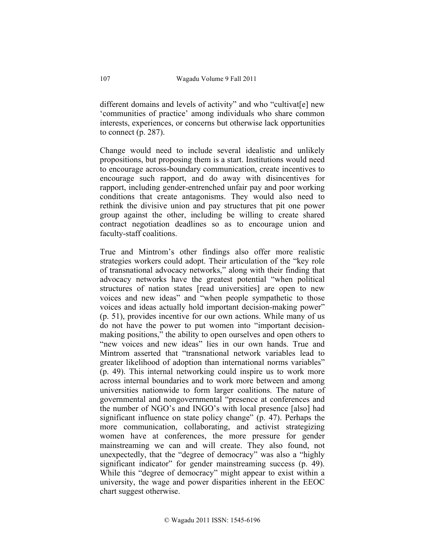different domains and levels of activity" and who "cultivat[e] new 'communities of practice' among individuals who share common interests, experiences, or concerns but otherwise lack opportunities to connect (p. 287).

Change would need to include several idealistic and unlikely propositions, but proposing them is a start. Institutions would need to encourage across-boundary communication, create incentives to encourage such rapport, and do away with disincentives for rapport, including gender-entrenched unfair pay and poor working conditions that create antagonisms. They would also need to rethink the divisive union and pay structures that pit one power group against the other, including be willing to create shared contract negotiation deadlines so as to encourage union and faculty-staff coalitions.

True and Mintrom's other findings also offer more realistic strategies workers could adopt. Their articulation of the "key role of transnational advocacy networks," along with their finding that advocacy networks have the greatest potential "when political structures of nation states [read universities] are open to new voices and new ideas" and "when people sympathetic to those voices and ideas actually hold important decision-making power" (p. 51), provides incentive for our own actions. While many of us do not have the power to put women into "important decisionmaking positions," the ability to open ourselves and open others to "new voices and new ideas" lies in our own hands. True and Mintrom asserted that "transnational network variables lead to greater likelihood of adoption than international norms variables" (p. 49). This internal networking could inspire us to work more across internal boundaries and to work more between and among universities nationwide to form larger coalitions. The nature of governmental and nongovernmental "presence at conferences and the number of NGO's and INGO's with local presence [also] had significant influence on state policy change" (p. 47). Perhaps the more communication, collaborating, and activist strategizing women have at conferences, the more pressure for gender mainstreaming we can and will create. They also found, not unexpectedly, that the "degree of democracy" was also a "highly significant indicator" for gender mainstreaming success (p. 49). While this "degree of democracy" might appear to exist within a university, the wage and power disparities inherent in the EEOC chart suggest otherwise.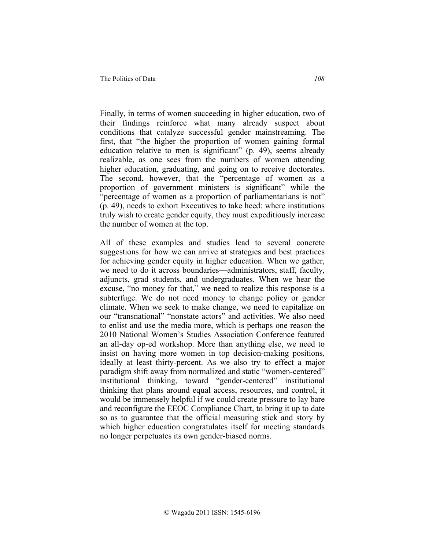Finally, in terms of women succeeding in higher education, two of their findings reinforce what many already suspect about conditions that catalyze successful gender mainstreaming. The first, that "the higher the proportion of women gaining formal education relative to men is significant" (p. 49), seems already realizable, as one sees from the numbers of women attending higher education, graduating, and going on to receive doctorates. The second, however, that the "percentage of women as a proportion of government ministers is significant" while the "percentage of women as a proportion of parliamentarians is not" (p. 49), needs to exhort Executives to take heed: where institutions truly wish to create gender equity, they must expeditiously increase the number of women at the top.

All of these examples and studies lead to several concrete suggestions for how we can arrive at strategies and best practices for achieving gender equity in higher education. When we gather, we need to do it across boundaries—administrators, staff, faculty, adjuncts, grad students, and undergraduates. When we hear the excuse, "no money for that," we need to realize this response is a subterfuge. We do not need money to change policy or gender climate. When we seek to make change, we need to capitalize on our "transnational" "nonstate actors" and activities. We also need to enlist and use the media more, which is perhaps one reason the 2010 National Women's Studies Association Conference featured an all-day op-ed workshop. More than anything else, we need to insist on having more women in top decision-making positions, ideally at least thirty-percent. As we also try to effect a major paradigm shift away from normalized and static "women-centered" institutional thinking, toward "gender-centered" institutional thinking that plans around equal access, resources, and control, it would be immensely helpful if we could create pressure to lay bare and reconfigure the EEOC Compliance Chart, to bring it up to date so as to guarantee that the official measuring stick and story by which higher education congratulates itself for meeting standards no longer perpetuates its own gender-biased norms.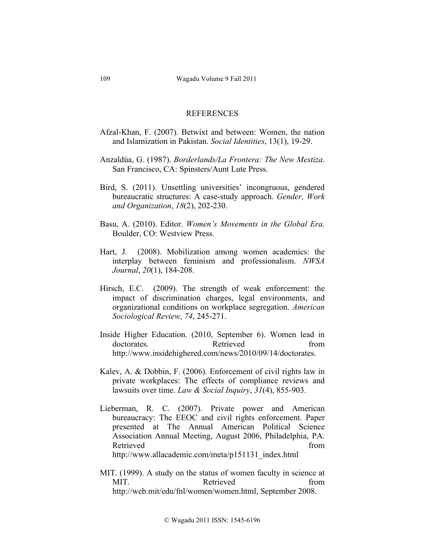### REFERENCES

- Afzal-Khan, F. (2007). Betwixt and between: Women, the nation and Islamization in Pakistan. *Social Identities*, 13(1), 19-29.
- Anzaldúa, G. (1987). *Borderlands/La Frontera: The New Mestiza*. San Francisco, CA: Spinsters/Aunt Lute Press.
- Bird, S. (2011). Unsettling universities' incongruous, gendered bureaucratic structures: A case-study approach. *Gender, Work and Organization*, *18*(2), 202-230.
- Basu, A. (2010). Editor. *Women's Movements in the Global Era*. Boulder, CO: Westview Press.
- Hart, J. (2008). Mobilization among women academics: the interplay between feminism and professionalism. *NWSA Journal*, *20*(1), 184-208.
- Hirsch, E.C. (2009). The strength of weak enforcement: the impact of discrimination charges, legal environments, and organizational conditions on workplace segregation. *American Sociological Review*, *74*, 245-271.
- Inside Higher Education. (2010, September 6). Women lead in doctorates. Retrieved from http://www.insidehighered.com/news/2010/09/14/doctorates.
- Kalev, A. & Dobbin, F. (2006). Enforcement of civil rights law in private workplaces: The effects of compliance reviews and lawsuits over time. *Law & Social Inquiry*, *31*(4), 855-903.
- Lieberman, R. C. (2007). Private power and American bureaucracy: The EEOC and civil rights enforcement. Paper presented at The Annual American Political Science Association Annual Meeting, August 2006, Philadelphia, PA. Retrieved from the state of the state of the state of the state of the state of the state of the state of the state of the state of the state of the state of the state of the state of the state of the state of the state of http://www.allacademic.com/meta/p151131\_index.html
- MIT. (1999). A study on the status of women faculty in science at MIT Retrieved from http://web.mit/edu/fnl/women/women.html, September 2008.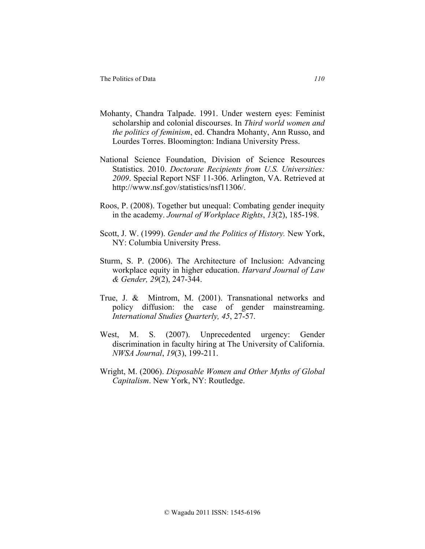- Mohanty, Chandra Talpade. 1991. Under western eyes: Feminist scholarship and colonial discourses. In *Third world women and the politics of feminism*, ed. Chandra Mohanty, Ann Russo, and Lourdes Torres. Bloomington: Indiana University Press.
- National Science Foundation, Division of Science Resources Statistics. 2010. *Doctorate Recipients from U.S. Universities: 2009*. Special Report NSF 11-306. Arlington, VA. Retrieved at http://www.nsf.gov/statistics/nsf11306/.
- Roos, P. (2008). Together but unequal: Combating gender inequity in the academy. *Journal of Workplace Rights*, *13*(2), 185-198.
- Scott, J. W. (1999). *Gender and the Politics of History.* New York, NY: Columbia University Press.
- Sturm, S. P. (2006). The Architecture of Inclusion: Advancing workplace equity in higher education. *Harvard Journal of Law & Gender, 29*(2), 247-344.
- True, J. & Mintrom, M. (2001). Transnational networks and policy diffusion: the case of gender mainstreaming. *International Studies Quarterly, 45*, 27-57.
- West, M. S. (2007). Unprecedented urgency: Gender discrimination in faculty hiring at The University of California. *NWSA Journal*, *19*(3), 199-211.
- Wright, M. (2006). *Disposable Women and Other Myths of Global Capitalism*. New York, NY: Routledge.